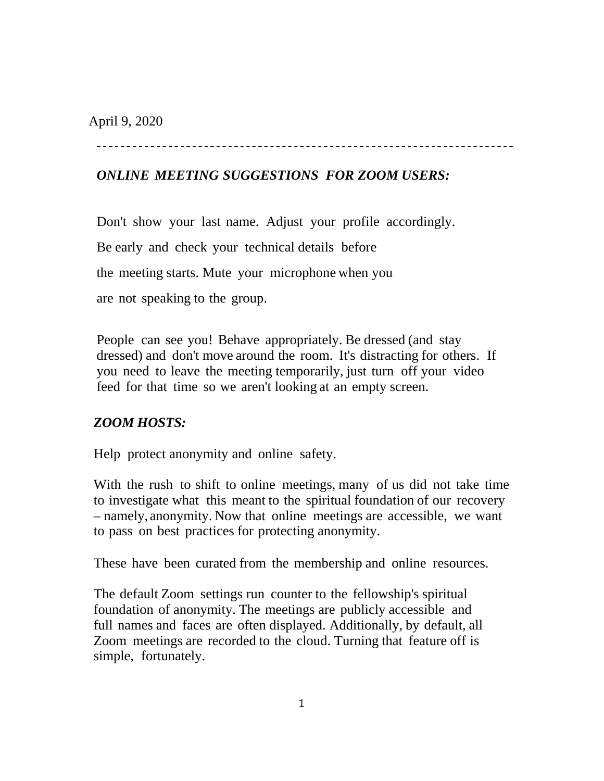April 9, 2020

## *ONLINE MEETING SUGGESTIONS FOR ZOOM USERS:*

Don't show your last name. Adjust your profile accordingly. Be early and check your technical details before the meeting starts. Mute your microphone when you are not speaking to the group.

People can see you! Behave appropriately. Be dressed (and stay dressed) and don't move around the room. It's distracting for others. If you need to leave the meeting temporarily, just turn off your video feed for that time so we aren't looking at an empty screen.

## *ZOOM HOSTS:*

Help protect anonymity and online safety.

With the rush to shift to online meetings, many of us did not take time to investigate what this meant to the spiritual foundation of our recovery – namely, anonymity. Now that online meetings are accessible, we want to pass on best practices for protecting anonymity.

These have been curated from the membership and online resources.

The default Zoom settings run counter to the fellowship's spiritual foundation of anonymity. The meetings are publicly accessible and full names and faces are often displayed. Additionally, by default, all Zoom meetings are recorded to the cloud. Turning that feature off is simple, fortunately.